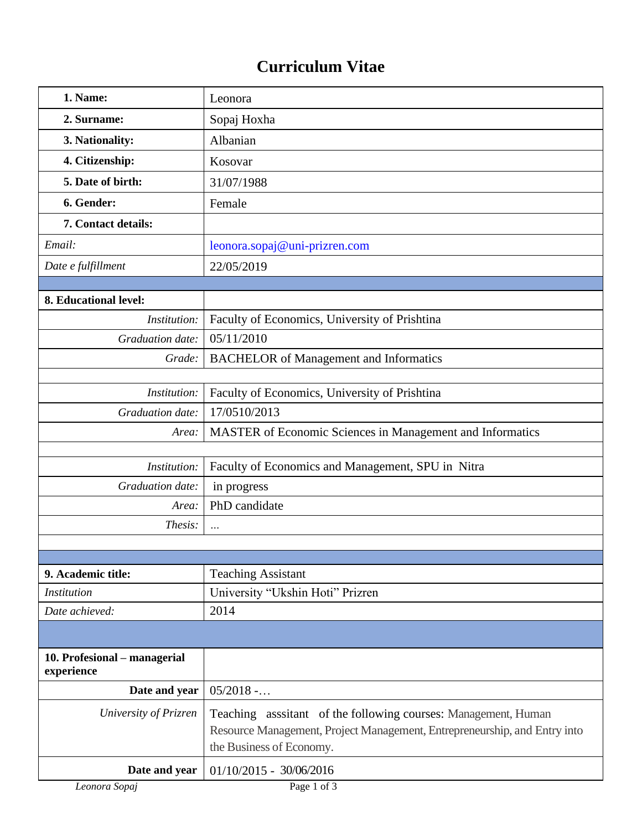## **Curriculum Vitae**

| 1. Name:                                   | Leonora                                                                                                                                                                |  |
|--------------------------------------------|------------------------------------------------------------------------------------------------------------------------------------------------------------------------|--|
| 2. Surname:                                | Sopaj Hoxha                                                                                                                                                            |  |
| 3. Nationality:                            | Albanian                                                                                                                                                               |  |
| 4. Citizenship:                            | Kosovar                                                                                                                                                                |  |
| 5. Date of birth:                          | 31/07/1988                                                                                                                                                             |  |
| 6. Gender:                                 | Female                                                                                                                                                                 |  |
| 7. Contact details:                        |                                                                                                                                                                        |  |
| Email:                                     | leonora.sopaj@uni-prizren.com                                                                                                                                          |  |
| Date e fulfillment                         | 22/05/2019                                                                                                                                                             |  |
|                                            |                                                                                                                                                                        |  |
| 8. Educational level:                      |                                                                                                                                                                        |  |
| Institution:                               | Faculty of Economics, University of Prishtina                                                                                                                          |  |
| Graduation date:                           | 05/11/2010                                                                                                                                                             |  |
| Grade:                                     | <b>BACHELOR</b> of Management and Informatics                                                                                                                          |  |
|                                            |                                                                                                                                                                        |  |
| Institution:                               | Faculty of Economics, University of Prishtina                                                                                                                          |  |
| Graduation date:                           | 17/0510/2013                                                                                                                                                           |  |
| Area:                                      | MASTER of Economic Sciences in Management and Informatics                                                                                                              |  |
| Institution:                               | Faculty of Economics and Management, SPU in Nitra                                                                                                                      |  |
| Graduation date:                           |                                                                                                                                                                        |  |
| Area:                                      | in progress<br>PhD candidate                                                                                                                                           |  |
| Thesis:                                    |                                                                                                                                                                        |  |
|                                            | $\cdots$                                                                                                                                                               |  |
|                                            |                                                                                                                                                                        |  |
| 9. Academic title:                         | <b>Teaching Assistant</b>                                                                                                                                              |  |
| <i>Institution</i>                         | University "Ukshin Hoti" Prizren                                                                                                                                       |  |
| Date achieved:                             | 2014                                                                                                                                                                   |  |
|                                            |                                                                                                                                                                        |  |
| 10. Profesional - managerial<br>experience |                                                                                                                                                                        |  |
| Date and year                              | 05/2018                                                                                                                                                                |  |
| University of Prizren                      | Teaching assitant of the following courses: Management, Human<br>Resource Management, Project Management, Entrepreneurship, and Entry into<br>the Business of Economy. |  |
| Date and year                              | $01/10/2015 - 30/06/2016$                                                                                                                                              |  |
| Leonora Sopaj                              | Page 1 of 3                                                                                                                                                            |  |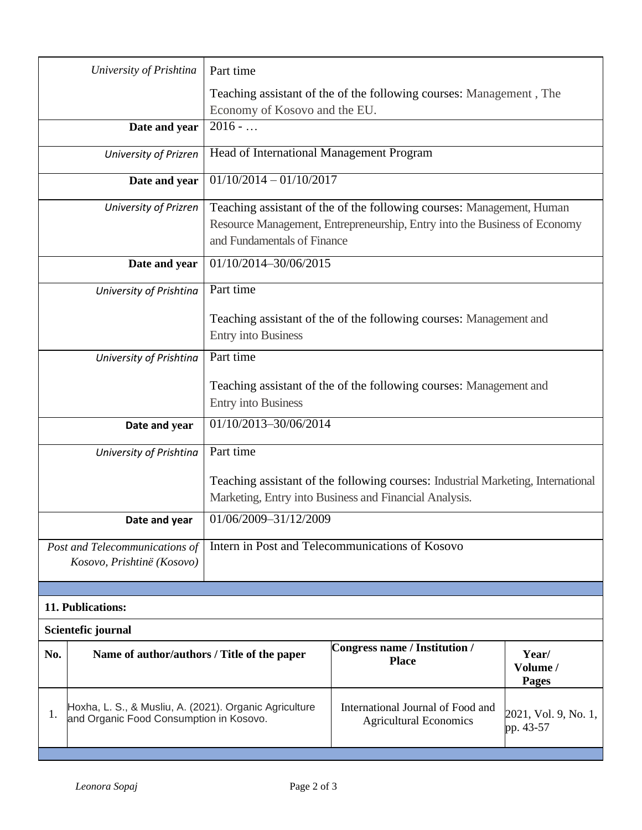|                                                                                                         | University of Prishtina                                                                                                                    | Part time                                                                                                                                                                         |                                                                    |  |  |  |  |
|---------------------------------------------------------------------------------------------------------|--------------------------------------------------------------------------------------------------------------------------------------------|-----------------------------------------------------------------------------------------------------------------------------------------------------------------------------------|--------------------------------------------------------------------|--|--|--|--|
|                                                                                                         |                                                                                                                                            | Teaching assistant of the of the following courses: Management, The                                                                                                               |                                                                    |  |  |  |  |
|                                                                                                         |                                                                                                                                            | Economy of Kosovo and the EU.                                                                                                                                                     |                                                                    |  |  |  |  |
|                                                                                                         | Date and year                                                                                                                              | $2016 - $                                                                                                                                                                         |                                                                    |  |  |  |  |
|                                                                                                         | University of Prizren                                                                                                                      | Head of International Management Program                                                                                                                                          |                                                                    |  |  |  |  |
|                                                                                                         | Date and year                                                                                                                              | $01/10/2014 - 01/10/2017$                                                                                                                                                         |                                                                    |  |  |  |  |
|                                                                                                         | University of Prizren                                                                                                                      | Teaching assistant of the of the following courses: Management, Human<br>Resource Management, Entrepreneurship, Entry into the Business of Economy<br>and Fundamentals of Finance |                                                                    |  |  |  |  |
|                                                                                                         | Date and year                                                                                                                              | 01/10/2014-30/06/2015                                                                                                                                                             |                                                                    |  |  |  |  |
|                                                                                                         | University of Prishtina                                                                                                                    | Part time                                                                                                                                                                         |                                                                    |  |  |  |  |
|                                                                                                         | Teaching assistant of the of the following courses: Management and                                                                         |                                                                                                                                                                                   |                                                                    |  |  |  |  |
|                                                                                                         |                                                                                                                                            | <b>Entry into Business</b>                                                                                                                                                        |                                                                    |  |  |  |  |
|                                                                                                         | University of Prishtina                                                                                                                    | Part time                                                                                                                                                                         |                                                                    |  |  |  |  |
|                                                                                                         |                                                                                                                                            |                                                                                                                                                                                   |                                                                    |  |  |  |  |
|                                                                                                         |                                                                                                                                            |                                                                                                                                                                                   | Teaching assistant of the of the following courses: Management and |  |  |  |  |
|                                                                                                         |                                                                                                                                            | <b>Entry into Business</b>                                                                                                                                                        |                                                                    |  |  |  |  |
|                                                                                                         | 01/10/2013-30/06/2014<br>Date and year                                                                                                     |                                                                                                                                                                                   |                                                                    |  |  |  |  |
|                                                                                                         | Part time<br>University of Prishtina                                                                                                       |                                                                                                                                                                                   |                                                                    |  |  |  |  |
|                                                                                                         | Teaching assistant of the following courses: Industrial Marketing, International<br>Marketing, Entry into Business and Financial Analysis. |                                                                                                                                                                                   |                                                                    |  |  |  |  |
|                                                                                                         | Date and year                                                                                                                              | 01/06/2009-31/12/2009                                                                                                                                                             |                                                                    |  |  |  |  |
|                                                                                                         | Intern in Post and Telecommunications of Kosovo<br>Post and Telecommunications of<br>Kosovo, Prishtinë (Kosovo)                            |                                                                                                                                                                                   |                                                                    |  |  |  |  |
|                                                                                                         |                                                                                                                                            |                                                                                                                                                                                   |                                                                    |  |  |  |  |
| 11. Publications:                                                                                       |                                                                                                                                            |                                                                                                                                                                                   |                                                                    |  |  |  |  |
| Scientefic journal                                                                                      |                                                                                                                                            |                                                                                                                                                                                   |                                                                    |  |  |  |  |
| No.<br>Name of author/authors / Title of the paper                                                      |                                                                                                                                            | Congress name / Institution /<br><b>Place</b>                                                                                                                                     | Year/<br>Volume /<br>Pages                                         |  |  |  |  |
| Hoxha, L. S., & Musliu, A. (2021). Organic Agriculture<br>1.<br>and Organic Food Consumption in Kosovo. |                                                                                                                                            | International Journal of Food and<br><b>Agricultural Economics</b>                                                                                                                | 2021, Vol. 9, No. 1,<br>pp. 43-57                                  |  |  |  |  |